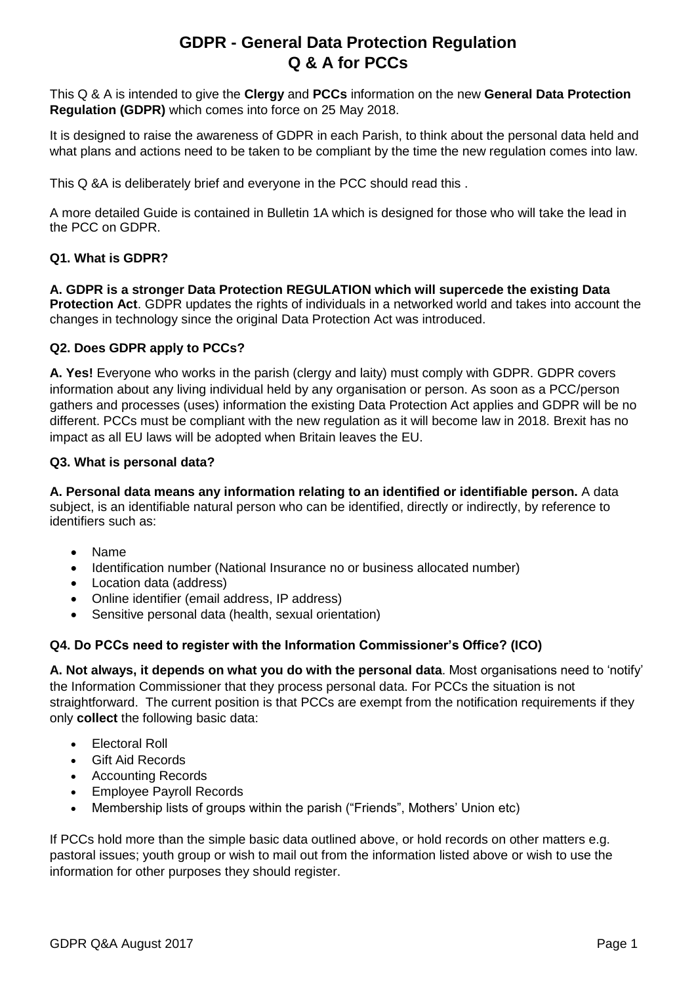# **GDPR - General Data Protection Regulation Q & A for PCCs**

This Q & A is intended to give the **Clergy** and **PCCs** information on the new **General Data Protection Regulation (GDPR)** which comes into force on 25 May 2018.

It is designed to raise the awareness of GDPR in each Parish, to think about the personal data held and what plans and actions need to be taken to be compliant by the time the new regulation comes into law.

This Q &A is deliberately brief and everyone in the PCC should read this .

A more detailed Guide is contained in Bulletin 1A which is designed for those who will take the lead in the PCC on GDPR.

# **Q1. What is GDPR?**

**A. GDPR is a stronger Data Protection REGULATION which will supercede the existing Data Protection Act**. GDPR updates the rights of individuals in a networked world and takes into account the changes in technology since the original Data Protection Act was introduced.

# **Q2. Does GDPR apply to PCCs?**

**A. Yes!** Everyone who works in the parish (clergy and laity) must comply with GDPR. GDPR covers information about any living individual held by any organisation or person. As soon as a PCC/person gathers and processes (uses) information the existing Data Protection Act applies and GDPR will be no different. PCCs must be compliant with the new regulation as it will become law in 2018. Brexit has no impact as all EU laws will be adopted when Britain leaves the EU.

### **Q3. What is personal data?**

**A. Personal data means any information relating to an identified or identifiable person.** A data subject, is an identifiable natural person who can be identified, directly or indirectly, by reference to identifiers such as:

- Name
- Identification number (National Insurance no or business allocated number)
- Location data (address)
- Online identifier (email address, IP address)
- Sensitive personal data (health, sexual orientation)

# **Q4. Do PCCs need to register with the Information Commissioner's Office? (ICO)**

**A. Not always, it depends on what you do with the personal data**. Most organisations need to 'notify' the Information Commissioner that they process personal data. For PCCs the situation is not straightforward. The current position is that PCCs are exempt from the notification requirements if they only **collect** the following basic data:

- Electoral Roll
- Gift Aid Records
- Accounting Records
- Employee Payroll Records
- Membership lists of groups within the parish ("Friends", Mothers' Union etc)

If PCCs hold more than the simple basic data outlined above, or hold records on other matters e.g. pastoral issues; youth group or wish to mail out from the information listed above or wish to use the information for other purposes they should register.